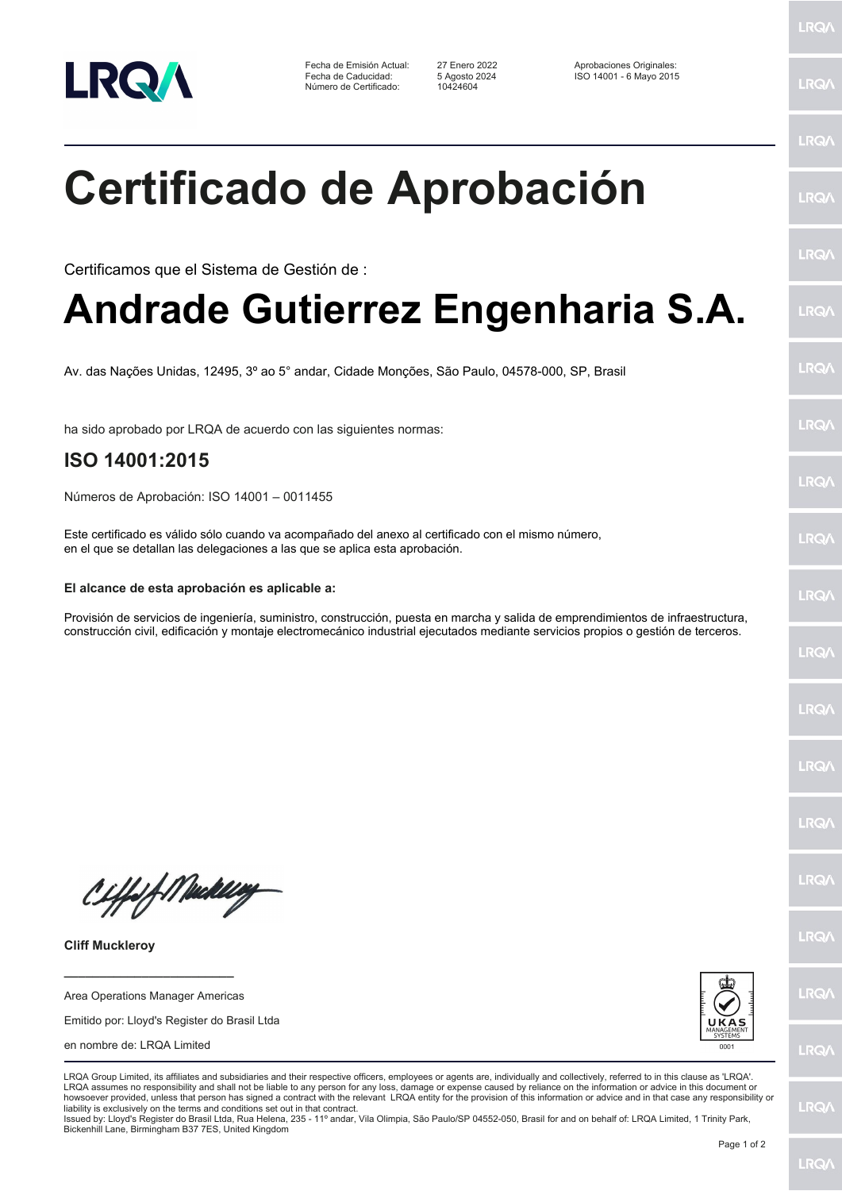

Fecha de Emisión Actual: 27 Enero 2022 Aprobaciones Originales: Número de Certificado:

Fecha de Caducidad: 5 Agosto 2024 ISO 14001 - 6 Mayo 2015

LRQ/

LRQ/

LRQ/

LRQ/

LRQ/

LRQ/

LRQ/

LRQ/

**LRQA** 

LRQ/

LRQ/

LRQ/

LRQ/

LRQ/

LRQ/

**IRQA** 

LRQ/

LRQ/

**LRQ/** 

LRQ/

## **Certificado de Aprobación**

Certificamos que el Sistema de Gestión de :

## **Andrade Gutierrez Engenharia S.A.**

Av. das Nações Unidas, 12495, 3º ao 5° andar, Cidade Monções, São Paulo, 04578-000, SP, Brasil

ha sido aprobado por LRQA de acuerdo con las siguientes normas:

## **ISO 14001:2015**

Números de Aprobación: ISO 14001 – 0011455

Este certificado es válido sólo cuando va acompañado del anexo al certificado con el mismo número, en el que se detallan las delegaciones a las que se aplica esta aprobación.

## **El alcance de esta aprobación es aplicable a:**

Provisión de servicios de ingeniería, suministro, construcción, puesta en marcha y salida de emprendimientos de infraestructura, construcción civil, edificación y montaje electromecánico industrial ejecutados mediante servicios propios o gestión de terceros.

Ciffeft Medal

**Cliff Muckleroy**

Area Operations Manager Americas

**\_\_\_\_\_\_\_\_\_\_\_\_\_\_\_\_\_\_\_\_\_\_\_\_**

Emitido por: Lloyd's Register do Brasil Ltda

en nombre de: LRQA Limited



LRQA Group Limited, its affiliates and subsidiaries and their respective officers, employees or agents are, individually and collectively, referred to in this clause as 'LRQA'. LRQA assumes no responsibility and shall not be liable to any person for any loss, damage or expense caused by reliance on the information or advice in this document or howsoever provided, unless that person has signed a contract with the relevant LRQA entity for the provision of this information or advice and in that case any responsibility or liability is exclusively on the terms and conditions set out in that contract.

Issued by: Lloyd's Register do Brasil Ltda, Rua Helena, 235 - 11º andar, Vila Olimpia, São Paulo/SP 04552-050, Brasil for and on behalf of: LRQA Limited, 1 Trinity Park, Bickenhill Lane, Birmingham B37 7ES, United Kingdom